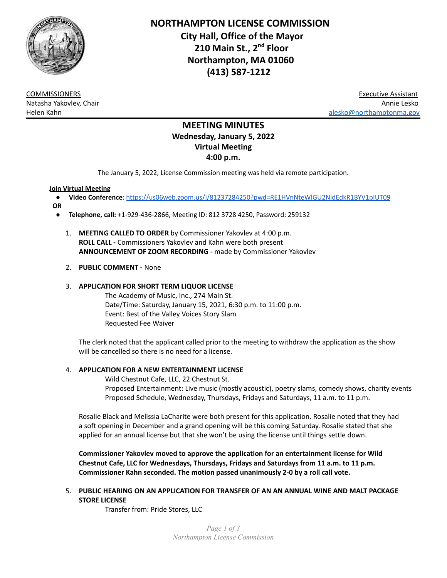

**NORTHAMPTON LICENSE COMMISSION City Hall, Office of the Mayor 210 Main St., 2 nd Floor Northampton, MA 01060 (413) 587-1212**

COMMISSIONERS Executive Assistant Natasha Yakovlev, Chair Annie Lesko Helen Kahn [alesko@northamptonma.gov](mailto:alesko@northamptonma.gov)

# **MEETING MINUTES Wednesday, January 5, 2022 Virtual Meeting 4:00 p.m.**

The January 5, 2022, License Commission meeting was held via remote participation.

# **Join Virtual Meeting**

- **Video Conference**: <https://us06web.zoom.us/j/81237284250?pwd=RE1HVnNteWlGU2NidEdkR1BYV1pIUT09>
- **OR**
	- **Telephone, call:** +1-929-436-2866, Meeting ID: 812 3728 4250, Password: 259132
		- 1. **MEETING CALLED TO ORDER** by Commissioner Yakovlev at 4:00 p.m. **ROLL CALL -** Commissioners Yakovlev and Kahn were both present **ANNOUNCEMENT OF ZOOM RECORDING -** made by Commissioner Yakovlev

# 2. **PUBLIC COMMENT -** None

# 3. **APPLICATION FOR SHORT TERM LIQUOR LICENSE**

The Academy of Music, Inc., 274 Main St. Date/Time: Saturday, January 15, 2021, 6:30 p.m. to 11:00 p.m. Event: Best of the Valley Voices Story Slam Requested Fee Waiver

The clerk noted that the applicant called prior to the meeting to withdraw the application as the show will be cancelled so there is no need for a license.

# 4. **APPLICATION FOR A NEW ENTERTAINMENT LICENSE**

Wild Chestnut Cafe, LLC, 22 Chestnut St. Proposed Entertainment: Live music (mostly acoustic), poetry slams, comedy shows, charity events Proposed Schedule, Wednesday, Thursdays, Fridays and Saturdays, 11 a.m. to 11 p.m.

Rosalie Black and Melissia LaCharite were both present for this application. Rosalie noted that they had a soft opening in December and a grand opening will be this coming Saturday. Rosalie stated that she applied for an annual license but that she won't be using the license until things settle down.

**Commissioner Yakovlev moved to approve the application for an entertainment license for Wild Chestnut Cafe, LLC for Wednesdays, Thursdays, Fridays and Saturdays from 11 a.m. to 11 p.m. Commissioner Kahn seconded. The motion passed unanimously 2-0 by a roll call vote.**

5. **PUBLIC HEARING ON AN APPLICATION FOR TRANSFER OF AN AN ANNUAL WINE AND MALT PACKAGE STORE LICENSE**

Transfer from: Pride Stores, LLC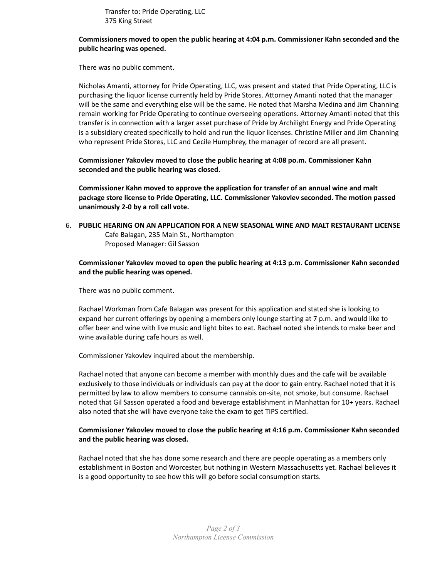Transfer to: Pride Operating, LLC 375 King Street

## **Commissioners moved to open the public hearing at 4:04 p.m. Commissioner Kahn seconded and the public hearing was opened.**

There was no public comment.

Nicholas Amanti, attorney for Pride Operating, LLC, was present and stated that Pride Operating, LLC is purchasing the liquor license currently held by Pride Stores. Attorney Amanti noted that the manager will be the same and everything else will be the same. He noted that Marsha Medina and Jim Channing remain working for Pride Operating to continue overseeing operations. Attorney Amanti noted that this transfer is in connection with a larger asset purchase of Pride by Archilight Energy and Pride Operating is a subsidiary created specifically to hold and run the liquor licenses. Christine Miller and Jim Channing who represent Pride Stores, LLC and Cecile Humphrey, the manager of record are all present.

**Commissioner Yakovlev moved to close the public hearing at 4:08 po.m. Commissioner Kahn seconded and the public hearing was closed.**

**Commissioner Kahn moved to approve the application for transfer of an annual wine and malt package store license to Pride Operating, LLC. Commissioner Yakovlev seconded. The motion passed unanimously 2-0 by a roll call vote.**

6. **PUBLIC HEARING ON AN APPLICATION FOR A NEW SEASONAL WINE AND MALT RESTAURANT LICENSE** Cafe Balagan, 235 Main St., Northampton Proposed Manager: Gil Sasson

# **Commissioner Yakovlev moved to open the public hearing at 4:13 p.m. Commissioner Kahn seconded and the public hearing was opened.**

There was no public comment.

Rachael Workman from Cafe Balagan was present for this application and stated she is looking to expand her current offerings by opening a members only lounge starting at 7 p.m. and would like to offer beer and wine with live music and light bites to eat. Rachael noted she intends to make beer and wine available during cafe hours as well.

Commissioner Yakovlev inquired about the membership.

Rachael noted that anyone can become a member with monthly dues and the cafe will be available exclusively to those individuals or individuals can pay at the door to gain entry. Rachael noted that it is permitted by law to allow members to consume cannabis on-site, not smoke, but consume. Rachael noted that Gil Sasson operated a food and beverage establishment in Manhattan for 10+ years. Rachael also noted that she will have everyone take the exam to get TIPS certified.

# **Commissioner Yakovlev moved to close the public hearing at 4:16 p.m. Commissioner Kahn seconded and the public hearing was closed.**

Rachael noted that she has done some research and there are people operating as a members only establishment in Boston and Worcester, but nothing in Western Massachusetts yet. Rachael believes it is a good opportunity to see how this will go before social consumption starts.